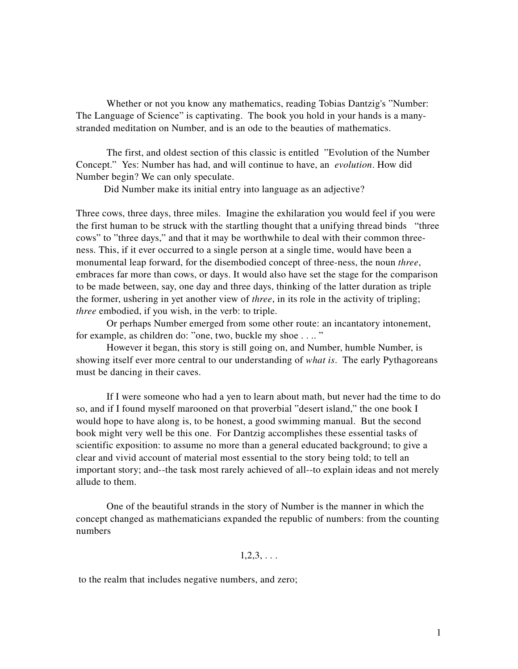Whether or not you know any mathematics, reading Tobias Dantzig's "Number: The Language of Science" is captivating. The book you hold in your hands is a manystranded meditation on Number, and is an ode to the beauties of mathematics.

The first, and oldest section of this classic is entitled "Evolution of the Number Concept." Yes: Number has had, and will continue to have, an *evolution*. How did Number begin? We can only speculate.

Did Number make its initial entry into language as an adjective?

Three cows, three days, three miles. Imagine the exhilaration you would feel if you were the first human to be struck with the startling thought that a unifying thread binds "three cows" to "three days," and that it may be worthwhile to deal with their common threeness. This, if it ever occurred to a single person at a single time, would have been a monumental leap forward, for the disembodied concept of three-ness, the noun *three*, embraces far more than cows, or days. It would also have set the stage for the comparison to be made between, say, one day and three days, thinking of the latter duration as triple the former, ushering in yet another view of *three*, in its role in the activity of tripling; *three* embodied, if you wish, in the verb: to triple.

Or perhaps Number emerged from some other route: an incantatory intonement, for example, as children do: "one, two, buckle my shoe . . .. "

However it began, this story is still going on, and Number, humble Number, is showing itself ever more central to our understanding of *what is*. The early Pythagoreans must be dancing in their caves.

If I were someone who had a yen to learn about math, but never had the time to do so, and if I found myself marooned on that proverbial "desert island," the one book I would hope to have along is, to be honest, a good swimming manual. But the second book might very well be this one. For Dantzig accomplishes these essential tasks of scientific exposition: to assume no more than a general educated background; to give a clear and vivid account of material most essential to the story being told; to tell an important story; and--the task most rarely achieved of all--to explain ideas and not merely allude to them.

One of the beautiful strands in the story of Number is the manner in which the concept changed as mathematicians expanded the republic of numbers: from the counting numbers

 $1, 2, 3, \ldots$ 

to the realm that includes negative numbers, and zero;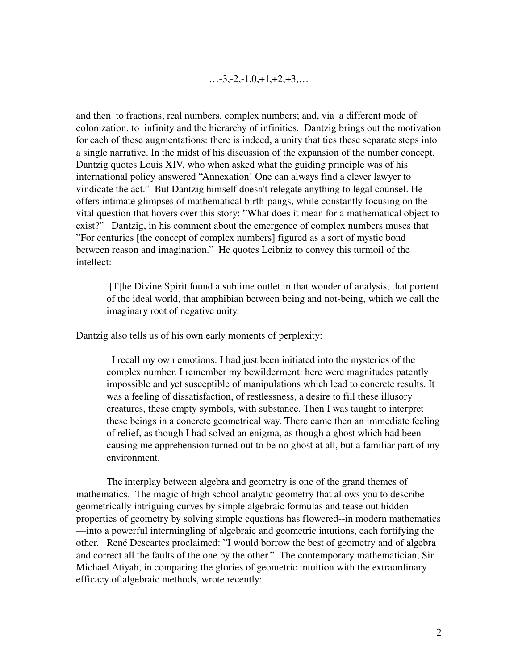and then to fractions, real numbers, complex numbers; and, via a different mode of colonization, to infinity and the hierarchy of infinities. Dantzig brings out the motivation for each of these augmentations: there is indeed, a unity that ties these separate steps into a single narrative. In the midst of his discussion of the expansion of the number concept, Dantzig quotes Louis XIV, who when asked what the guiding principle was of his international policy answered "Annexation! One can always find a clever lawyer to vindicate the act." But Dantzig himself doesn't relegate anything to legal counsel. He offers intimate glimpses of mathematical birth-pangs, while constantly focusing on the vital question that hovers over this story: "What does it mean for a mathematical object to exist?" Dantzig, in his comment about the emergence of complex numbers muses that "For centuries [the concept of complex numbers] figured as a sort of mystic bond between reason and imagination." He quotes Leibniz to convey this turmoil of the intellect:

 [T]he Divine Spirit found a sublime outlet in that wonder of analysis, that portent of the ideal world, that amphibian between being and not-being, which we call the imaginary root of negative unity.

Dantzig also tells us of his own early moments of perplexity:

 I recall my own emotions: I had just been initiated into the mysteries of the complex number. I remember my bewilderment: here were magnitudes patently impossible and yet susceptible of manipulations which lead to concrete results. It was a feeling of dissatisfaction, of restlessness, a desire to fill these illusory creatures, these empty symbols, with substance. Then I was taught to interpret these beings in a concrete geometrical way. There came then an immediate feeling of relief, as though I had solved an enigma, as though a ghost which had been causing me apprehension turned out to be no ghost at all, but a familiar part of my environment.

The interplay between algebra and geometry is one of the grand themes of mathematics. The magic of high school analytic geometry that allows you to describe geometrically intriguing curves by simple algebraic formulas and tease out hidden properties of geometry by solving simple equations has flowered--in modern mathematics —into a powerful intermingling of algebraic and geometric intutions, each fortifying the other. René Descartes proclaimed: "I would borrow the best of geometry and of algebra and correct all the faults of the one by the other." The contemporary mathematician, Sir Michael Atiyah, in comparing the glories of geometric intuition with the extraordinary efficacy of algebraic methods, wrote recently: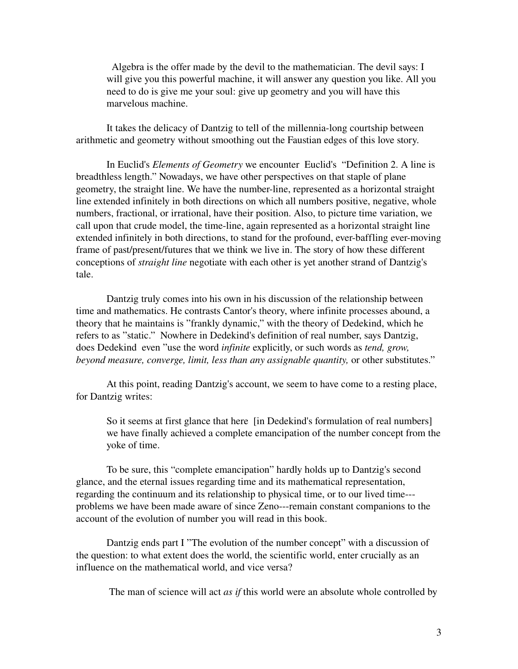Algebra is the offer made by the devil to the mathematician. The devil says: I will give you this powerful machine, it will answer any question you like. All you need to do is give me your soul: give up geometry and you will have this marvelous machine.

It takes the delicacy of Dantzig to tell of the millennia-long courtship between arithmetic and geometry without smoothing out the Faustian edges of this love story.

In Euclid's *Elements of Geometry* we encounter Euclid's "Definition 2. A line is breadthless length." Nowadays, we have other perspectives on that staple of plane geometry, the straight line. We have the number-line, represented as a horizontal straight line extended infinitely in both directions on which all numbers positive, negative, whole numbers, fractional, or irrational, have their position. Also, to picture time variation, we call upon that crude model, the time-line, again represented as a horizontal straight line extended infinitely in both directions, to stand for the profound, ever-baffling ever-moving frame of past/present/futures that we think we live in. The story of how these different conceptions of *straight line* negotiate with each other is yet another strand of Dantzig's tale.

Dantzig truly comes into his own in his discussion of the relationship between time and mathematics. He contrasts Cantor's theory, where infinite processes abound, a theory that he maintains is "frankly dynamic," with the theory of Dedekind, which he refers to as "static." Nowhere in Dedekind's definition of real number, says Dantzig, does Dedekind even "use the word *infinite* explicitly, or such words as *tend, grow, beyond measure, converge, limit, less than any assignable quantity, or other substitutes.*"

 At this point, reading Dantzig's account, we seem to have come to a resting place, for Dantzig writes:

So it seems at first glance that here [in Dedekind's formulation of real numbers] we have finally achieved a complete emancipation of the number concept from the yoke of time.

 To be sure, this "complete emancipation" hardly holds up to Dantzig's second glance, and the eternal issues regarding time and its mathematical representation, regarding the continuum and its relationship to physical time, or to our lived time problems we have been made aware of since Zeno---remain constant companions to the account of the evolution of number you will read in this book.

Dantzig ends part I "The evolution of the number concept" with a discussion of the question: to what extent does the world, the scientific world, enter crucially as an influence on the mathematical world, and vice versa?

The man of science will act *as if* this world were an absolute whole controlled by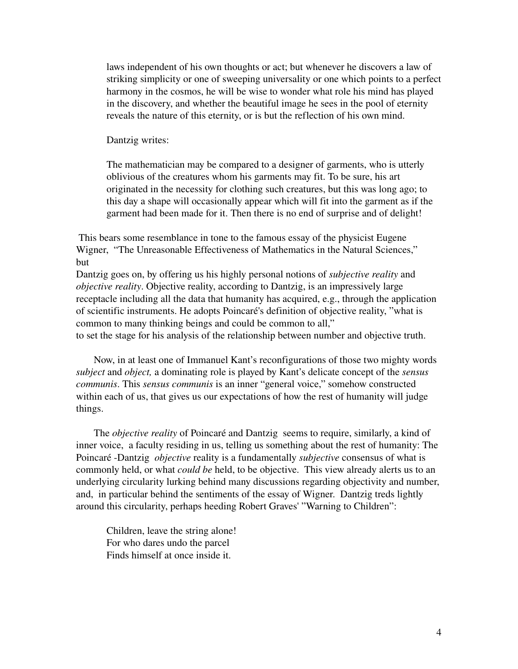laws independent of his own thoughts or act; but whenever he discovers a law of striking simplicity or one of sweeping universality or one which points to a perfect harmony in the cosmos, he will be wise to wonder what role his mind has played in the discovery, and whether the beautiful image he sees in the pool of eternity reveals the nature of this eternity, or is but the reflection of his own mind.

Dantzig writes:

The mathematician may be compared to a designer of garments, who is utterly oblivious of the creatures whom his garments may fit. To be sure, his art originated in the necessity for clothing such creatures, but this was long ago; to this day a shape will occasionally appear which will fit into the garment as if the garment had been made for it. Then there is no end of surprise and of delight!

 This bears some resemblance in tone to the famous essay of the physicist Eugene Wigner, "The Unreasonable Effectiveness of Mathematics in the Natural Sciences," but

Dantzig goes on, by offering us his highly personal notions of *subjective reality* and *objective reality*. Objective reality, according to Dantzig, is an impressively large receptacle including all the data that humanity has acquired, e.g., through the application of scientific instruments. He adopts Poincaré's definition of objective reality, "what is common to many thinking beings and could be common to all,"

to set the stage for his analysis of the relationship between number and objective truth.

 Now, in at least one of Immanuel Kant's reconfigurations of those two mighty words *subject* and *object,* a dominating role is played by Kant's delicate concept of the *sensus communis*. This *sensus communis* is an inner "general voice," somehow constructed within each of us, that gives us our expectations of how the rest of humanity will judge things.

The *objective reality* of Poincaré and Dantzig seems to require, similarly, a kind of inner voice, a faculty residing in us, telling us something about the rest of humanity: The Poincaré Dantzig *objective* reality is a fundamentally *subjective* consensus of what is commonly held, or what *could be* held, to be objective. This view already alerts us to an underlying circularity lurking behind many discussions regarding objectivity and number, and, in particular behind the sentiments of the essay of Wigner. Dantzig treds lightly around this circularity, perhaps heeding Robert Graves' "Warning to Children":

Children, leave the string alone! For who dares undo the parcel Finds himself at once inside it.